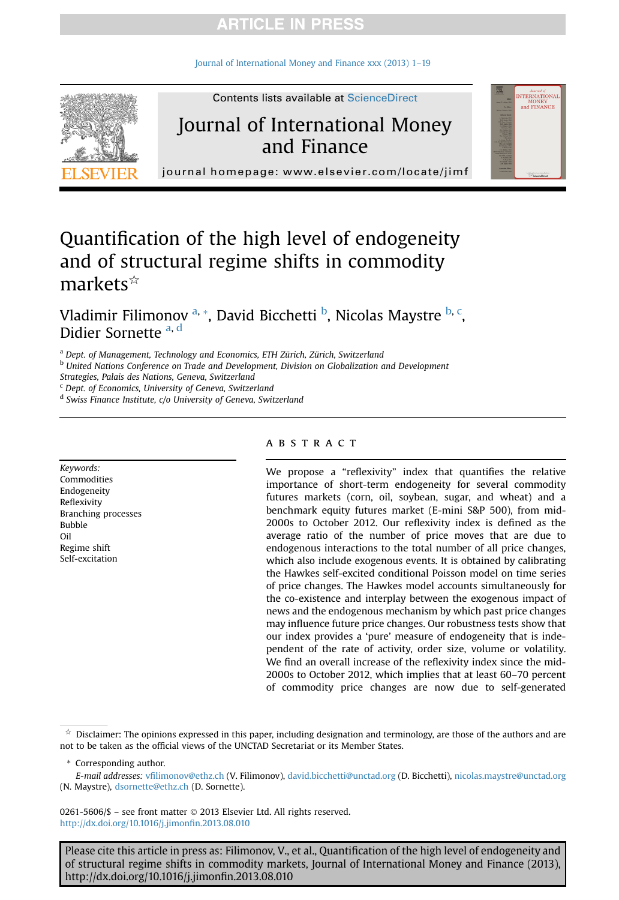### **ARTICLE IN PRESS**

[Journal of International Money and Finance xxx \(2013\) 1](http://dx.doi.org/10.1016/j.jimonfin.2013.08.010)–19



**Contents lists available at ScienceDirect** 

## Journal of International Money and Finance



journal homepage: [www.elsevier.com/locate/jimf](http://www.elsevier.com/locate/jimf)

## Quantification of the high level of endogeneity and of structural regime shifts in commodity  $markets$ <sup> $\hat{\mathbf{x}}$ </sup>

Vladimir Filimonov <sup>a, \*</sup>, David Bicchetti <sup>b</sup>, Nicolas Maystre <sup>b, c</sup>, Didier Sornette a, d

a Dept. of Management, Technology and Economics, ETH Zürich, Zürich, Switzerland

**b United Nations Conference on Trade and Development, Division on Globalization and Development** 

Strategies, Palais des Nations, Geneva, Switzerland

<sup>c</sup> Dept. of Economics, University of Geneva, Switzerland

<sup>d</sup> Swiss Finance Institute, c/o University of Geneva, Switzerland

Keywords: Commodities Endogeneity Reflexivity Branching processes Bubble Oil Regime shift Self-excitation

#### **ABSTRACT**

We propose a "reflexivity" index that quantifies the relative importance of short-term endogeneity for several commodity futures markets (corn, oil, soybean, sugar, and wheat) and a benchmark equity futures market (E-mini S&P 500), from mid-2000s to October 2012. Our reflexivity index is defined as the average ratio of the number of price moves that are due to endogenous interactions to the total number of all price changes, which also include exogenous events. It is obtained by calibrating the Hawkes self-excited conditional Poisson model on time series of price changes. The Hawkes model accounts simultaneously for the co-existence and interplay between the exogenous impact of news and the endogenous mechanism by which past price changes may influence future price changes. Our robustness tests show that our index provides a 'pure' measure of endogeneity that is independent of the rate of activity, order size, volume or volatility. We find an overall increase of the reflexivity index since the mid-2000s to October 2012, which implies that at least 60–70 percent of commodity price changes are now due to self-generated

\* Corresponding author.

E-mail addresses: vfi[limonov@ethz.ch](mailto:vfilimonov@ethz.ch) (V. Filimonov), [david.bicchetti@unctad.org](mailto:david.bicchetti@unctad.org) (D. Bicchetti), [nicolas.maystre@unctad.org](mailto:nicolas.maystre@unctad.org) (N. Maystre), [dsornette@ethz.ch](mailto:dsornette@ethz.ch) (D. Sornette).

0261-5606/\$ - see front matter © 2013 Elsevier Ltd. All rights reserved. [http://dx.doi.org/10.1016/j.jimon](http://dx.doi.org/10.1016/j.jimonfin.2013.08.010)fin.2013.08.010

Please cite this article in press as: Filimonov, V., et al., Quantification of the high level of endogeneity and of structural regime shifts in commodity markets, Journal of International Money and Finance (2013), http://dx.doi.org/10.1016/j.jimonfin.2013.08.010

 $\dot{\pi}$  Disclaimer: The opinions expressed in this paper, including designation and terminology, are those of the authors and are not to be taken as the official views of the UNCTAD Secretariat or its Member States.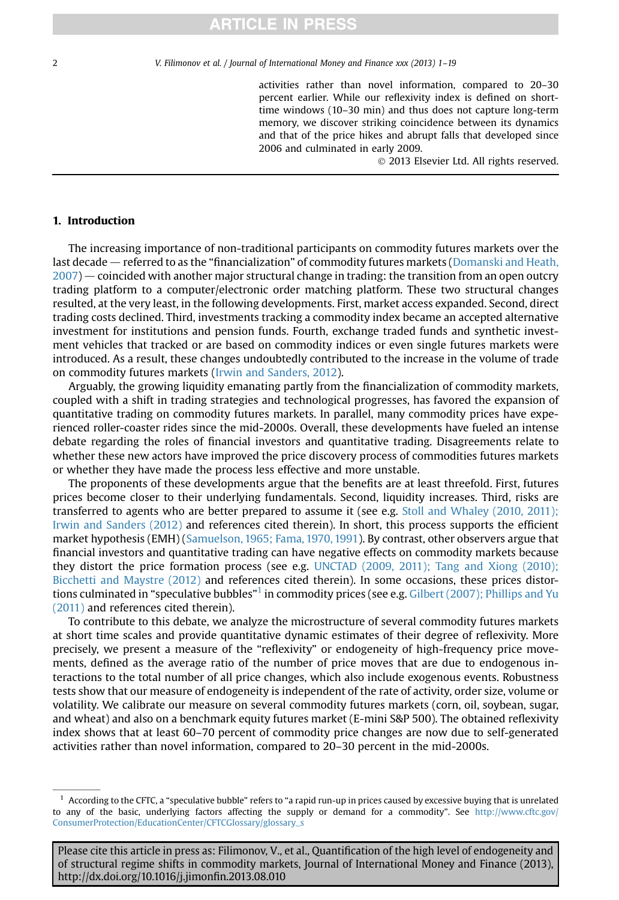### **ARTICLE IN PRESS**

2 V. Filimonov et al. / Journal of International Money and Finance xxx (2013) 1–19

activities rather than novel information, compared to 20–30 percent earlier. While our reflexivity index is defined on shorttime windows (10–30 min) and thus does not capture long-term memory, we discover striking coincidence between its dynamics and that of the price hikes and abrupt falls that developed since 2006 and culminated in early 2009.

2013 Elsevier Ltd. All rights reserved.

#### 1. Introduction

The increasing importance of non-traditional participants on commodity futures markets over the last decade — referred to as the "financialization" of commodity futures markets [\(Domanski and Heath,](#page--1-0)  $2007$  – coincided with another major structural change in trading: the transition from an open outcry trading platform to a computer/electronic order matching platform. These two structural changes resulted, at the very least, in the following developments. First, market access expanded. Second, direct trading costs declined. Third, investments tracking a commodity index became an accepted alternative investment for institutions and pension funds. Fourth, exchange traded funds and synthetic investment vehicles that tracked or are based on commodity indices or even single futures markets were introduced. As a result, these changes undoubtedly contributed to the increase in the volume of trade on commodity futures markets [\(Irwin and Sanders, 2012\)](#page--1-0).

Arguably, the growing liquidity emanating partly from the financialization of commodity markets, coupled with a shift in trading strategies and technological progresses, has favored the expansion of quantitative trading on commodity futures markets. In parallel, many commodity prices have experienced roller-coaster rides since the mid-2000s. Overall, these developments have fueled an intense debate regarding the roles of financial investors and quantitative trading. Disagreements relate to whether these new actors have improved the price discovery process of commodities futures markets or whether they have made the process less effective and more unstable.

The proponents of these developments argue that the benefits are at least threefold. First, futures prices become closer to their underlying fundamentals. Second, liquidity increases. Third, risks are transferred to agents who are better prepared to assume it (see e.g. [Stoll and Whaley \(2010, 2011\);](#page--1-0) [Irwin and Sanders \(2012\)](#page--1-0) and references cited therein). In short, this process supports the efficient market hypothesis (EMH) ([Samuelson, 1965; Fama, 1970, 1991](#page--1-0)). By contrast, other observers argue that financial investors and quantitative trading can have negative effects on commodity markets because they distort the price formation process (see e.g. [UNCTAD \(2009, 2011\); Tang and Xiong \(2010\);](#page--1-0) [Bicchetti and Maystre \(2012\)](#page--1-0) and references cited therein). In some occasions, these prices distortions culminated in "speculative bubbles"  $^1$  in commodity prices (see e.g. [Gilbert \(2007\); Phillips and Yu](#page--1-0) [\(2011\)](#page--1-0) and references cited therein).

To contribute to this debate, we analyze the microstructure of several commodity futures markets at short time scales and provide quantitative dynamic estimates of their degree of reflexivity. More precisely, we present a measure of the "reflexivity" or endogeneity of high-frequency price movements, defined as the average ratio of the number of price moves that are due to endogenous interactions to the total number of all price changes, which also include exogenous events. Robustness tests show that our measure of endogeneity is independent of the rate of activity, order size, volume or volatility. We calibrate our measure on several commodity futures markets (corn, oil, soybean, sugar, and wheat) and also on a benchmark equity futures market (E-mini S&P 500). The obtained reflexivity index shows that at least 60–70 percent of commodity price changes are now due to self-generated activities rather than novel information, compared to 20–30 percent in the mid-2000s.

 $<sup>1</sup>$  According to the CFTC, a "speculative bubble" refers to "a rapid run-up in prices caused by excessive buying that is unrelated</sup> to any of the basic, underlying factors affecting the supply or demand for a commodity". See [http://www.cftc.gov/](http://www.cftc.gov/ConsumerProtection/EducationCenter/CFTCGlossary/glossary_s) [ConsumerProtection/EducationCenter/CFTCGlossary/glossary\\_s](http://www.cftc.gov/ConsumerProtection/EducationCenter/CFTCGlossary/glossary_s)

Please cite this article in press as: Filimonov, V., et al., Quantification of the high level of endogeneity and of structural regime shifts in commodity markets, Journal of International Money and Finance (2013), http://dx.doi.org/10.1016/j.jimonfin.2013.08.010